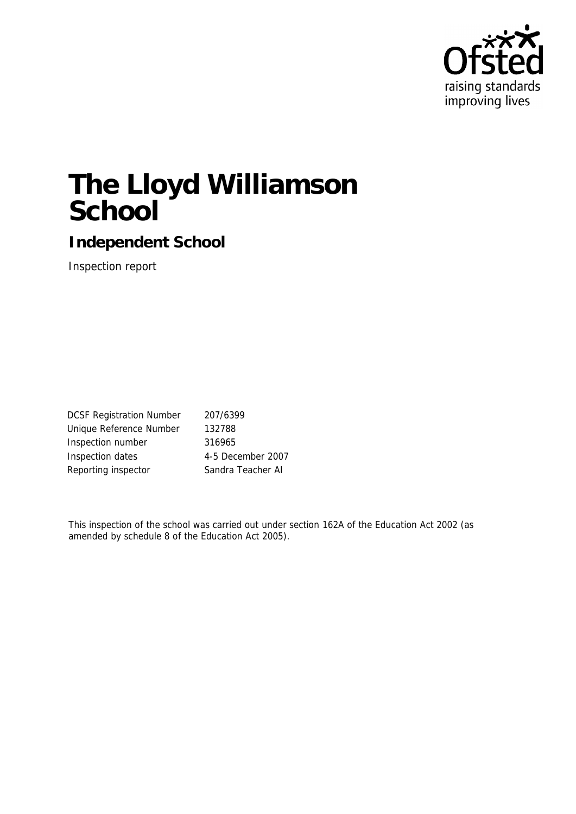

# **The Lloyd Williamson School**

**Independent School**

Inspection report

| <b>DCSF Registration Number</b> | 207/6399          |
|---------------------------------|-------------------|
| Unique Reference Number         | 132788            |
| Inspection number               | 316965            |
| Inspection dates                | 4-5 December 2007 |
| Reporting inspector             | Sandra Teacher AI |
|                                 |                   |

This inspection of the school was carried out under section 162A of the Education Act 2002 (as amended by schedule 8 of the Education Act 2005).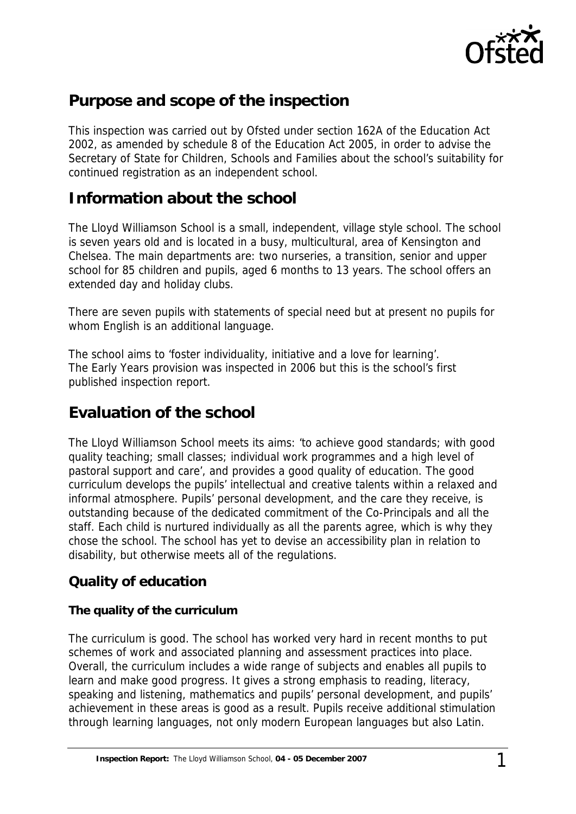

# **Purpose and scope of the inspection**

This inspection was carried out by Ofsted under section 162A of the Education Act 2002, as amended by schedule 8 of the Education Act 2005, in order to advise the Secretary of State for Children, Schools and Families about the school's suitability for continued registration as an independent school.

## **Information about the school**

The Lloyd Williamson School is a small, independent, village style school. The school is seven years old and is located in a busy, multicultural, area of Kensington and Chelsea. The main departments are: two nurseries, a transition, senior and upper school for 85 children and pupils, aged 6 months to 13 years. The school offers an extended day and holiday clubs.

There are seven pupils with statements of special need but at present no pupils for whom English is an additional language.

The school aims to 'foster individuality, initiative and a love for learning'. The Early Years provision was inspected in 2006 but this is the school's first published inspection report.

# **Evaluation of the school**

The Lloyd Williamson School meets its aims: 'to achieve good standards; with good quality teaching; small classes; individual work programmes and a high level of pastoral support and care', and provides a good quality of education. The good curriculum develops the pupils' intellectual and creative talents within a relaxed and informal atmosphere. Pupils' personal development, and the care they receive, is outstanding because of the dedicated commitment of the Co-Principals and all the staff. Each child is nurtured individually as all the parents agree, which is why they chose the school. The school has yet to devise an accessibility plan in relation to disability, but otherwise meets all of the regulations.

#### **Quality of education**

#### **The quality of the curriculum**

The curriculum is good. The school has worked very hard in recent months to put schemes of work and associated planning and assessment practices into place. Overall, the curriculum includes a wide range of subjects and enables all pupils to learn and make good progress. It gives a strong emphasis to reading, literacy, speaking and listening, mathematics and pupils' personal development, and pupils' achievement in these areas is good as a result. Pupils receive additional stimulation through learning languages, not only modern European languages but also Latin.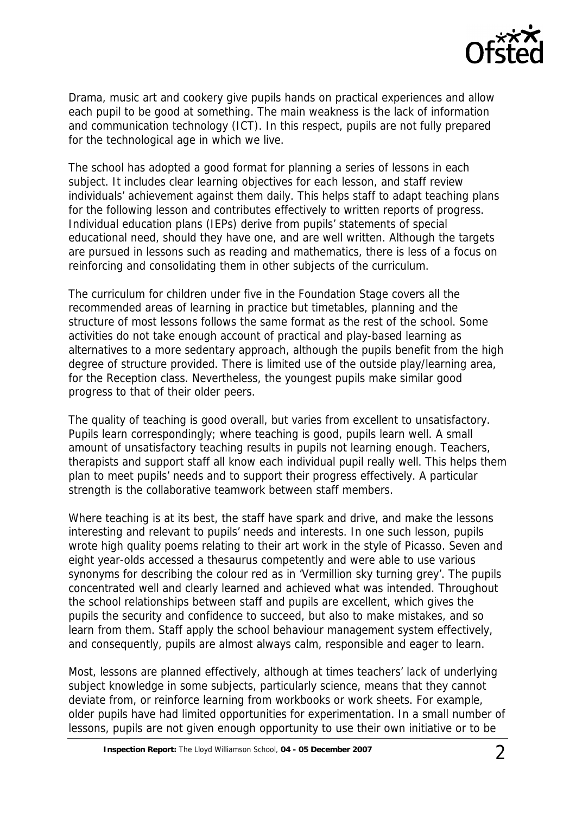

Drama, music art and cookery give pupils hands on practical experiences and allow each pupil to be good at something. The main weakness is the lack of information and communication technology (ICT). In this respect, pupils are not fully prepared for the technological age in which we live.

The school has adopted a good format for planning a series of lessons in each subject. It includes clear learning objectives for each lesson, and staff review individuals' achievement against them daily. This helps staff to adapt teaching plans for the following lesson and contributes effectively to written reports of progress. Individual education plans (IEPs) derive from pupils' statements of special educational need, should they have one, and are well written. Although the targets are pursued in lessons such as reading and mathematics, there is less of a focus on reinforcing and consolidating them in other subjects of the curriculum.

The curriculum for children under five in the Foundation Stage covers all the recommended areas of learning in practice but timetables, planning and the structure of most lessons follows the same format as the rest of the school. Some activities do not take enough account of practical and play-based learning as alternatives to a more sedentary approach, although the pupils benefit from the high degree of structure provided. There is limited use of the outside play/learning area, for the Reception class. Nevertheless, the youngest pupils make similar good progress to that of their older peers.

The quality of teaching is good overall, but varies from excellent to unsatisfactory. Pupils learn correspondingly; where teaching is good, pupils learn well. A small amount of unsatisfactory teaching results in pupils not learning enough. Teachers, therapists and support staff all know each individual pupil really well. This helps them plan to meet pupils' needs and to support their progress effectively. A particular strength is the collaborative teamwork between staff members.

Where teaching is at its best, the staff have spark and drive, and make the lessons interesting and relevant to pupils' needs and interests. In one such lesson, pupils wrote high quality poems relating to their art work in the style of Picasso. Seven and eight year-olds accessed a thesaurus competently and were able to use various synonyms for describing the colour red as in 'Vermillion sky turning grey'. The pupils concentrated well and clearly learned and achieved what was intended. Throughout the school relationships between staff and pupils are excellent, which gives the pupils the security and confidence to succeed, but also to make mistakes, and so learn from them. Staff apply the school behaviour management system effectively, and consequently, pupils are almost always calm, responsible and eager to learn.

Most, lessons are planned effectively, although at times teachers' lack of underlying subject knowledge in some subjects, particularly science, means that they cannot deviate from, or reinforce learning from workbooks or work sheets. For example, older pupils have had limited opportunities for experimentation. In a small number of lessons, pupils are not given enough opportunity to use their own initiative or to be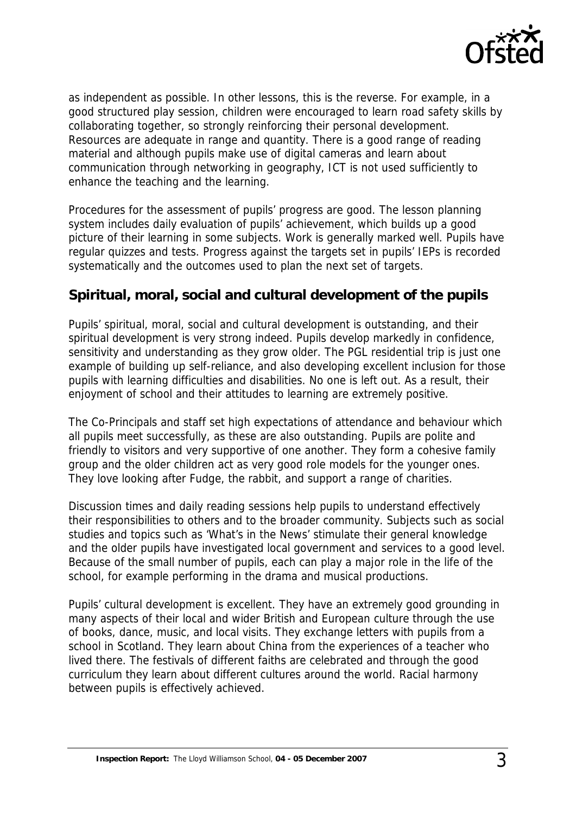

as independent as possible. In other lessons, this is the reverse. For example, in a good structured play session, children were encouraged to learn road safety skills by collaborating together, so strongly reinforcing their personal development. Resources are adequate in range and quantity. There is a good range of reading material and although pupils make use of digital cameras and learn about communication through networking in geography, ICT is not used sufficiently to enhance the teaching and the learning.

Procedures for the assessment of pupils' progress are good. The lesson planning system includes daily evaluation of pupils' achievement, which builds up a good picture of their learning in some subjects. Work is generally marked well. Pupils have regular quizzes and tests. Progress against the targets set in pupils' IEPs is recorded systematically and the outcomes used to plan the next set of targets.

#### **Spiritual, moral, social and cultural development of the pupils**

Pupils' spiritual, moral, social and cultural development is outstanding, and their spiritual development is very strong indeed. Pupils develop markedly in confidence, sensitivity and understanding as they grow older. The PGL residential trip is just one example of building up self-reliance, and also developing excellent inclusion for those pupils with learning difficulties and disabilities. No one is left out. As a result, their enjoyment of school and their attitudes to learning are extremely positive.

The Co-Principals and staff set high expectations of attendance and behaviour which all pupils meet successfully, as these are also outstanding. Pupils are polite and friendly to visitors and very supportive of one another. They form a cohesive family group and the older children act as very good role models for the younger ones. They love looking after Fudge, the rabbit, and support a range of charities.

Discussion times and daily reading sessions help pupils to understand effectively their responsibilities to others and to the broader community. Subjects such as social studies and topics such as 'What's in the News' stimulate their general knowledge and the older pupils have investigated local government and services to a good level. Because of the small number of pupils, each can play a major role in the life of the school, for example performing in the drama and musical productions.

Pupils' cultural development is excellent. They have an extremely good grounding in many aspects of their local and wider British and European culture through the use of books, dance, music, and local visits. They exchange letters with pupils from a school in Scotland. They learn about China from the experiences of a teacher who lived there. The festivals of different faiths are celebrated and through the good curriculum they learn about different cultures around the world. Racial harmony between pupils is effectively achieved.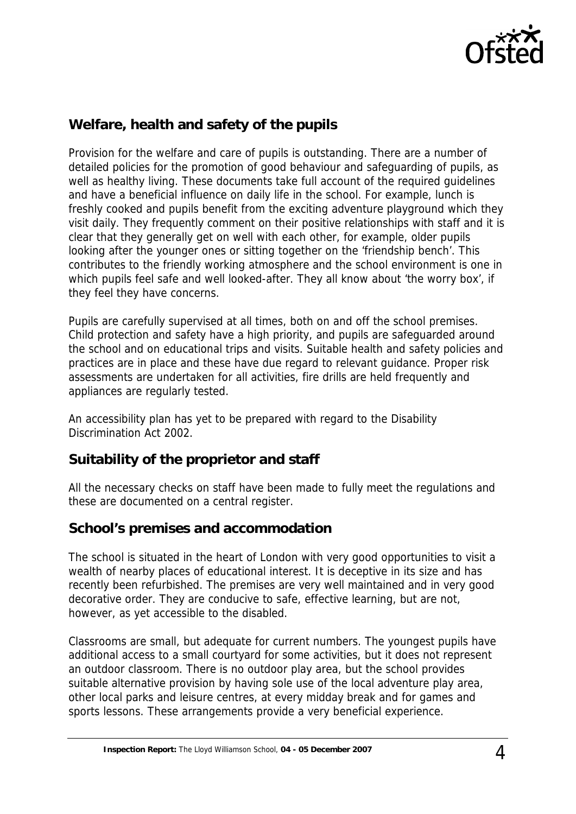

## **Welfare, health and safety of the pupils**

Provision for the welfare and care of pupils is outstanding. There are a number of detailed policies for the promotion of good behaviour and safeguarding of pupils, as well as healthy living. These documents take full account of the required guidelines and have a beneficial influence on daily life in the school. For example, lunch is freshly cooked and pupils benefit from the exciting adventure playground which they visit daily. They frequently comment on their positive relationships with staff and it is clear that they generally get on well with each other, for example, older pupils looking after the younger ones or sitting together on the 'friendship bench'. This contributes to the friendly working atmosphere and the school environment is one in which pupils feel safe and well looked-after. They all know about 'the worry box', if they feel they have concerns.

Pupils are carefully supervised at all times, both on and off the school premises. Child protection and safety have a high priority, and pupils are safeguarded around the school and on educational trips and visits. Suitable health and safety policies and practices are in place and these have due regard to relevant guidance. Proper risk assessments are undertaken for all activities, fire drills are held frequently and appliances are regularly tested.

An accessibility plan has yet to be prepared with regard to the Disability Discrimination Act 2002.

#### **Suitability of the proprietor and staff**

All the necessary checks on staff have been made to fully meet the regulations and these are documented on a central register.

#### **School's premises and accommodation**

The school is situated in the heart of London with very good opportunities to visit a wealth of nearby places of educational interest. It is deceptive in its size and has recently been refurbished. The premises are very well maintained and in very good decorative order. They are conducive to safe, effective learning, but are not, however, as yet accessible to the disabled.

Classrooms are small, but adequate for current numbers. The youngest pupils have additional access to a small courtyard for some activities, but it does not represent an outdoor classroom. There is no outdoor play area, but the school provides suitable alternative provision by having sole use of the local adventure play area, other local parks and leisure centres, at every midday break and for games and sports lessons. These arrangements provide a very beneficial experience.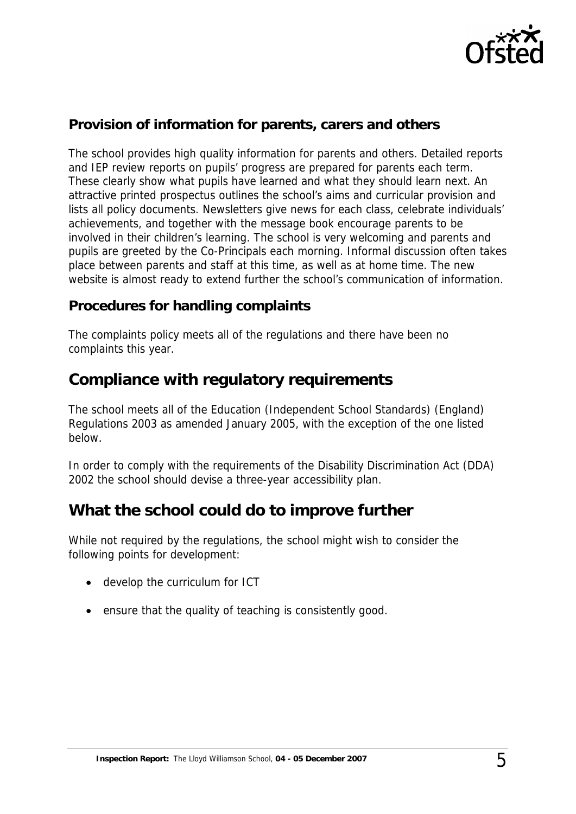

## **Provision of information for parents, carers and others**

The school provides high quality information for parents and others. Detailed reports and IEP review reports on pupils' progress are prepared for parents each term. These clearly show what pupils have learned and what they should learn next. An attractive printed prospectus outlines the school's aims and curricular provision and lists all policy documents. Newsletters give news for each class, celebrate individuals' achievements, and together with the message book encourage parents to be involved in their children's learning. The school is very welcoming and parents and pupils are greeted by the Co-Principals each morning. Informal discussion often takes place between parents and staff at this time, as well as at home time. The new website is almost ready to extend further the school's communication of information.

#### **Procedures for handling complaints**

The complaints policy meets all of the regulations and there have been no complaints this year.

## **Compliance with regulatory requirements**

The school meets all of the Education (Independent School Standards) (England) Regulations 2003 as amended January 2005, with the exception of the one listed below.

In order to comply with the requirements of the Disability Discrimination Act (DDA) 2002 the school should devise a three-year accessibility plan.

## **What the school could do to improve further**

While not required by the regulations, the school might wish to consider the following points for development:

- develop the curriculum for ICT
- ensure that the quality of teaching is consistently good.